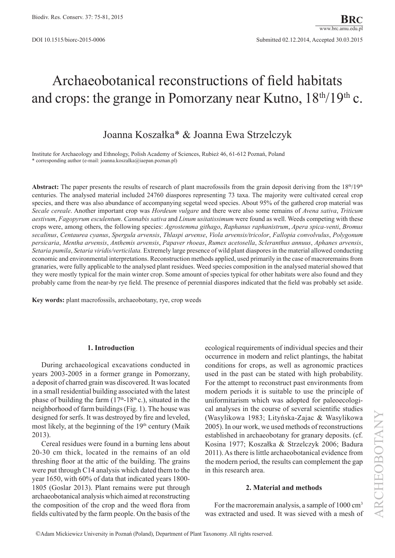# Archaeobotanical reconstructions of field habitats and crops: the grange in Pomorzany near Kutno,  $18<sup>th</sup>/19<sup>th</sup>$  c.

# Joanna Koszałka\* & Joanna Ewa Strzelczyk

Institute for Archaeology and Ethnology, Polish Academy of Sciences, Rubież 46, 61-612 Poznań, Poland \* corresponding author (e-mail: joanna.koszalka@iaepan.poznan.pl)

Abstract: The paper presents the results of research of plant macrofossils from the grain deposit deriving from the 18<sup>th</sup>/19<sup>th</sup> centuries. The analysed material included 24760 diaspores representing 73 taxa. The majority were cultivated cereal crop species, and there was also abundance of accompanying segetal weed species. About 95% of the gathered crop material was *Secale cereale*. Another important crop was *Hordeum vulgare* and there were also some remains of *Avena sativa*, *Triticum aestivum*, *Fagopyrum esculentum*. *Cannabis sativa* and *Linum usitatissimum* were found as well. Weeds competing with these crops were, among others, the following species: *Agrostemma githago*, *Raphanus raphanistrum*, *Apera spica-venti*, *Bromus secalinus*, *Centaurea cyanus*, *Spergula arvensis*, *Thlaspi arvense*, *Viola arvensis/tricolor*, *Fallopia convolvulus*, *Polygonum persicaria*, *Mentha arvensis*, *Anthemis arvensis*, *Papaver rhoeas*, *Rumex acetosella*, *Scleranthus annuus*, *Aphanes arvensis*, *Setaria pumila*, *Setaria viridis/verticilata.* Extremely large presence of wild plant diaspores in the material allowed conducting economic and environmental interpretations. Reconstruction methods applied, used primarily in the case of macroremains from granaries, were fully applicable to the analysed plant residues. Weed species composition in the analysed material showed that they were mostly typical for the main winter crop. Some amount of species typical for other habitats were also found and they probably came from the near-by rye field. The presence of perennial diaspores indicated that the field was probably set aside.

**Key words:** plant macrofossils, archaeobotany, rye, crop weeds

## **1. Introduction**

During archaeological excavations conducted in years 2003-2005 in a former grange in Pomorzany, a deposit of charred grain was discovered. It was located in a small residential building associated with the latest phase of building the farm  $(17<sup>th</sup>-18<sup>th</sup> c)$ , situated in the neighborhood of farm buildings (Fig. 1). The house was designed for serfs. It was destroyed by fire and leveled, most likely, at the beginning of the  $19<sup>th</sup>$  century (Maik 2013).

Cereal residues were found in a burning lens about 20-30 cm thick, located in the remains of an old threshing floor at the attic of the building. The grains were put through C14 analysis which dated them to the year 1650, with 60% of data that indicated years 1800- 1805 (Goslar 2013). Plant remains were put through archaeobotanical analysis which aimed at reconstructing the composition of the crop and the weed flora from fields cultivated by the farm people. On the basis of the ecological requirements of individual species and their occurrence in modern and relict plantings, the habitat conditions for crops, as well as agronomic practices used in the past can be stated with high probability. For the attempt to reconstruct past environments from modern periods it is suitable to use the principle of uniformitarism which was adopted for paleoecological analyses in the course of several scientific studies (Wasylikowa 1983; Lityńska-Zajac & Wasylikowa 2005). In our work, we used methods of reconstructions established in archaeobotany for granary deposits. (cf. Kosina 1977; Koszałka & Strzelczyk 2006; Badura 2011). As there is little archaeobotanical evidence from the modern period, the results can complement the gap in this research area.

## **2. Material and methods**

For the macroremain analysis, a sample of 1000 cm<sup>3</sup> was extracted and used. It was sieved with a mesh of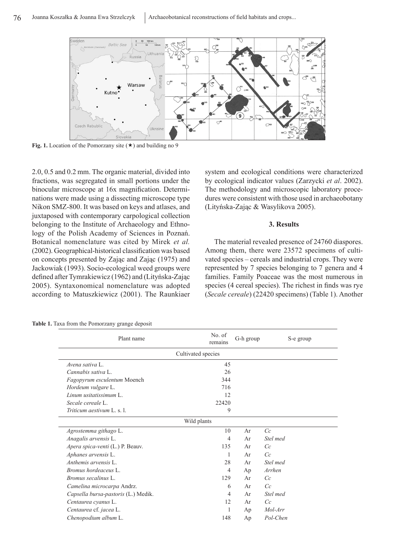

**Fig. 1.** Location of the Pomorzany site  $(\star)$  and building no 9

2.0, 0.5 and 0.2 mm. The organic material, divided into fractions, was segregated in small portions under the binocular microscope at 16x magnification. Determinations were made using a dissecting microscope type Nikon SMZ-800. It was based on keys and atlases, and juxtaposed with contemporary carpological collection belonging to the Institute of Archaeology and Ethnology of the Polish Academy of Sciences in Poznań. Botanical nomenclature was cited by Mirek *et al.* (2002). Geographical-historical classification was based on concepts presented by Zając and Zając (1975) and Jackowiak (1993). Socio-ecological weed groups were defined after Tymrakiewicz (1962) and (Lityńska-Zając 2005). Syntaxonomical nomenclature was adopted according to Matuszkiewicz (2001). The Raunkiaer

system and ecological conditions were characterized by ecological indicator values (Zarzycki *et al*. 2002). The methodology and microscopic laboratory procedures were consistent with those used in archaeobotany (Lityńska-Zając & Wasylikova 2005).

#### **3. Results**

The material revealed presence of 24760 diaspores. Among them, there were 23572 specimens of cultivated species – cereals and industrial crops. They were represented by 7 species belonging to 7 genera and 4 families. Family Poaceae was the most numerous in species (4 cereal species). The richest in finds was rye (*Secale cereale*) (22420 specimens) (Table 1). Another

**Table 1.** Taxa from the Pomorzany grange deposit

| Plant name                          | No. of<br>remains | G-h group | S-e group |  |
|-------------------------------------|-------------------|-----------|-----------|--|
| Cultivated species                  |                   |           |           |  |
| Avena sativa L.                     | 45                |           |           |  |
| Cannabis sativa L.                  | 26                |           |           |  |
| Fagopyrum esculentum Moench         | 344               |           |           |  |
| Hordeum vulgare L.                  | 716               |           |           |  |
| Linum usitatissimum L.              | 12                |           |           |  |
| Secale cereale L.                   | 22420             |           |           |  |
| <i>Triticum aestivum L. s. l.</i>   | 9                 |           |           |  |
| Wild plants                         |                   |           |           |  |
| Agrostemma githago L.               | 10                | Ar        | Cc        |  |
| Anagalis arvensis L.                | 4                 | Ar        | Stel med  |  |
| Apera spica-venti (L.) P. Beauv.    | 135               | Ar        | Cc        |  |
| Aphanes arvensis L.                 | 1                 | Ar        | Cc        |  |
| Anthemis arvensis L.                | 28                | Ar        | Stel med  |  |
| Bromus hordeaceus L.                | $\overline{4}$    | Ap        | Arrhen    |  |
| Bromus secalinus L.                 | 129               | Ar        | Cc        |  |
| Camelina microcarpa Andrz.          | 6                 | Ar        | Cc        |  |
| Capsella bursa-pastoris (L.) Medik. | 4                 | Ar        | Stel med  |  |
| Centaurea cyanus L.                 | 12                | Ar        | Cc        |  |
| Centaurea cf. jacea L.              | 1                 | Ap        | Mol-Arr   |  |
| Chenopodium album L.                | 148               | Ap        | Pol-Chen  |  |
|                                     |                   |           |           |  |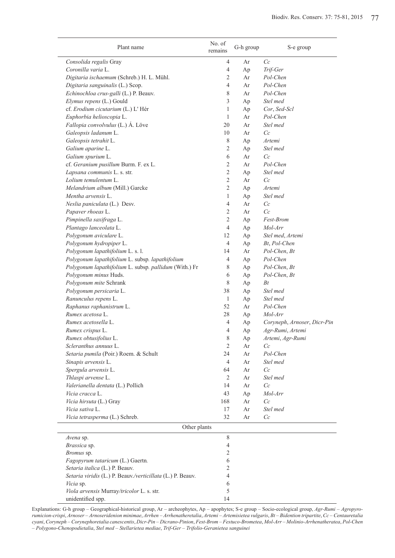| Plant name                                                 | No. of<br>remains    | G-h group | S-e group                   |
|------------------------------------------------------------|----------------------|-----------|-----------------------------|
| Consolida regalis Gray                                     | 4                    | Ar        | Cc                          |
| Coronilla varia L.                                         | 4                    | Ap        | Trif-Ger                    |
| Digitaria ischaemum (Schreb.) H. L. Mühl.                  | $\overline{2}$       | Ar        | Pol-Chen                    |
| Digitaria sanguinalis (L.) Scop.                           | $\overline{4}$       | Ar        | Pol-Chen                    |
| Echinochloa crus-galli (L.) P. Beauv.                      | 8                    | Ar        | Pol-Chen                    |
| Elymus repens (L.) Gould                                   | 3                    | Ap        | Stel med                    |
| cf. Erodium cicutarium (L.) L'Hér                          | 1                    | Ap        | Cor, Sed-Scl                |
| Euphorbia helioscopia L.                                   | 1                    | Ar        | Pol-Chen                    |
| Fallopia convolvulus (L.) Á. Löve                          | 20                   | Ar        | Stel med                    |
| Galeopsis ladanum L.                                       | 10                   | Ar        | Cc                          |
| Galeopsis tetrahit L.                                      | 8                    | Ap        | Artemi                      |
| Galium aparine L.                                          | $\overline{2}$       | Ap        | Stel med                    |
| Galium spurium L.                                          | 6                    | Ar        | Cc                          |
| cf. Geranium pusillum Burm. F. ex L.                       | $\overline{2}$       | Ar        | Pol-Chen                    |
| Lapsana communis L. s. str.                                | $\overline{2}$       | Ap        | Stel med                    |
| Lolium temulentum L.                                       | $\overline{2}$       | Ar        | Cc                          |
| Melandrium album (Mill.) Garcke                            | $\overline{2}$       | Ap        | Artemi                      |
| Mentha arvensis L.                                         | 1                    | Ap        | Stel med                    |
| Neslia paniculata (L.) Desv.                               | $\overline{4}$       | Ar        | Cc                          |
| Papaver rhoeas L.                                          | 2                    | Ar        | Cc                          |
| Pimpinella saxifraga L.                                    | $\mathfrak{2}$       | Ap        | Fest-Brom                   |
| Plantago lanceolata L.                                     | $\overline{4}$       | Ap        | Mol-Arr                     |
| Polygonum aviculare L.                                     | 12                   | Ap        | Stel med, Artemi            |
| Polygonum hydropiper L.                                    | $\overline{4}$       | Ap        | Bt, Pol-Chen                |
| Polygonum lapathifolium L. s. l.                           | 14                   | Ar        | Pol-Chen, Bt                |
| Polygonum lapathifolium L. subsp. lapathifolium            | 4                    | Ap        | Pol-Chen                    |
| Polygonum lapathifolium L. subsp. pallidum (With.) Fr      | 8                    | Ap        | Pol-Chen, Bt                |
| Polygonum minus Huds.                                      | 6                    | Ap        | Pol-Chen, Bt                |
| Polygonum mite Schrank                                     | 8                    | Ap        | Bt                          |
| Polygonum persicaria L.                                    | 38                   | Ap        | Stel med                    |
| Ranunculus repens L.                                       | 1                    | Ap        | Stel med                    |
| Raphanus raphanistrum L.                                   | 52                   | Ar        | Pol-Chen                    |
| Rumex acetosa L.                                           | 28                   | Ap        | Mol-Arr                     |
| Rumex acetosella L.                                        | 4                    | Ap        | Coryneph, Arnoser, Dicr-Pin |
| Rumex crispus L.                                           | $\overline{4}$       | Ap        | Agr-Rumi, Artemi            |
| Rumex obtusifolius L.                                      | 8                    | Aр        | Artemi, Agr-Rumi            |
| Scleranthus annuus L.                                      | 2                    | Ar        | Cc                          |
| Setaria pumila (Poir.) Roem. & Schult                      | 24                   | Ar        | Pol-Chen<br>Stel med        |
| Sinapis arvensis L.<br>Spergula arvensis L.                | $\overline{4}$<br>64 | Ar        | Cc                          |
| Thlaspi arvense L.                                         | 2                    | Ar<br>Ar  | Stel med                    |
| Valerianella dentata (L.) Pollich                          | 14                   | Ar        | Cc                          |
| Vicia cracca L.                                            | 43                   |           | Mol-Arr                     |
| Vicia hirsuta (L.) Gray                                    | 168                  | Ap<br>Ar  | Cc                          |
| Vicia sativa L.                                            | 17                   | Ar        | Stel med                    |
| Vicia tetrasperma (L.) Schreb.                             | 32                   | Ar        | Cc                          |
| Other plants                                               |                      |           |                             |
| Avena sp.                                                  | 8                    |           |                             |
| Brassica sp.                                               | $\overline{4}$       |           |                             |
| Bromus sp.                                                 | 2                    |           |                             |
| Fagopyrum tataricum (L.) Gaertn.                           | 6                    |           |                             |
| Setaria italica (L.) P. Beauv.                             | 2                    |           |                             |
| Setaria viridis (L.) P. Beauv./verticillata (L.) P. Beauv. | $\overline{4}$       |           |                             |
| Vicia sp.                                                  | 6                    |           |                             |
| Viola arvensis Murray/tricolor L. s. str.                  | 5                    |           |                             |
| unidentified spp.                                          | 14                   |           |                             |

Explanations: G-h group – Geographical-historical group, Ar – archeophytes, Ap – apophytes; S-e group – Socio-ecological group, *Agr-Rumi* – *Agropyro*rumicion-crispi, Arnoser – Arnoseridenion minimae, Arrhen – Arrhenatheretalia, Artemi – Artemisietea vulgaris, Bt – Bidention tripartite, Cc – Centauretalia cyani, Coryneph – Corynephoretalia canescentis, Dicr-Pin – Dicrano-Pinion, Fest-Brom – Festuco-Brometea, Mol-Arr – Molinio-Arrhenatheratea, Pol-Chen – *Polygono*-*Chenopodietalia*, *Stel med* – *Stellarietea mediae*, *Trif*-*Ger* – *Trifolio-Geranietea sanguinei*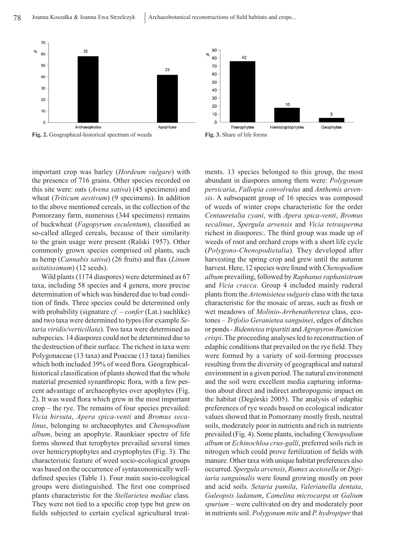

**Fig. 2.** Geographical-historical spectrum of weeds **Fig. 3.** Share of life forms





Wild plants (1174 diaspores) were determined as 67 taxa, including 58 species and 4 genera, more precise determination of which was hindered due to bad condition of finds. Three species could be determined only with probability (signature *cf.* – *confer* (Lat.) suchlike) and two taxa were determined to types (for example *Setaria viridis/verticillata*). Two taxa were determined as subspecies. 14 diaspores could not be determined due to the destruction of their surface. The richest in taxa were Polygonaceae (13 taxa) and Poaceae (13 taxa) families which both included 39% of weed flora. Geographicalhistorical classification of plants showed that the whole material presented synanthropic flora, with a few percent advantage of archaeophytes over apophytes (Fig. 2). It was weed flora which grew in the most important crop – the rye. The remains of four species prevailed: *Vicia hirsuta*, *Apera spica-venti* and *Bromus secalinus*, belonging to archaeophytes and *Chenopodium album*, being an apophyte. Raunkiaer spectre of life forms showed that terophytes prevailed several times over hemicryptophytes and cryptophytes (Fig. 3). The characteristic feature of weed socio-ecological groups was based on the occurrence of syntaxonomically welldefined species (Table 1). Four main socio-ecological groups were distinguished. The first one comprised plants characteristic for the *Stellarietea mediae* class. They were not tied to a specific crop type but grew on fields subjected to certain cyclical agricultural treatments. 13 species belonged to this group, the most abundant in diaspores among them were: *Polygonum persicaria*, *Fallopia convolvulus* and *Anthemis arvensis*. A subsequent group of 16 species was composed of weeds of winter crops characteristic for the order *Centauretalia cyani*, with *Apera spica-venti*, *Bromus secalinus*, *Spergula arvensis* and *Vicia tetrasperma* richest in diaspores:. The third group was made up of weeds of root and orchard crops with a short life cycle (*Polygono-Chenopodietalia*). They developed after harvesting the spring crop and grew until the autumn harvest. Here, 12 species were found with *Chenopodium album* prevailing, followed by *Raphanus raphanistrum* and *Vicia cracca*. Group 4 included mainly ruderal plants from the *Artemisietea vulgaris* class with the taxa characteristic for the mosaic of areas, such as fresh or wet meadows of *Molinio-Arrhenatheretea* class, ecotones – *Trifolio Geranietea sanguinei*, edges of ditches or ponds - *Bidentetea tripartiti* and *Agropyron-Rumicion crispi*. The proceeding analyses led to reconstruction of edaphic conditions that prevailed on the rye field. They were formed by a variety of soil-forming processes resulting from the diversity of geographical and natural environment in a given period. The natural environment and the soil were excellent media capturing information about direct and indirect anthropogenic impact on the habitat (Degórski 2005). The analysis of edaphic preferences of rye weeds based on ecological indicator values showed that in Pomorzany mostly fresh, neutral soils, moderately poor in nutrients and rich in nutrients prevailed (Fig. 4). Some plants, including *Chenopodium album* or *Echinochloa crus-galli*, preferred soils rich in nitrogen which could prove fertilization of fields with manure. Other taxa with unique habitat preferences also occurred. *Spergula arvensis*, *Rumex acetosella* or *Digitaria sanguinalis* were found growing mostly on poor and acid soils. *Setaria pumila*, *Valerianella dentata*, *Galeopsis ladanum*, *Camelina microcarpa* or *Galium spurium* – were cultivated on dry and moderately poor in nutrients soil. *Polygonum mite* and *P. hydropiper* that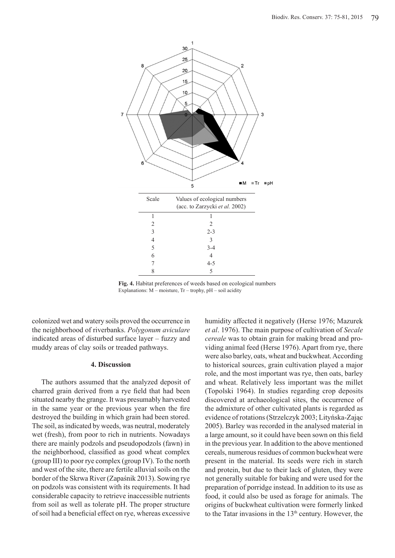

**Fig. 4.** Habitat preferences of weeds based on ecological numbers Explanations:  $M$  – moisture,  $Tr$  – trophy,  $pH$  – soil acidity

colonized wet and watery soils proved the occurrence in the neighborhood of riverbanks. *Polygonum aviculare* indicated areas of disturbed surface layer – fuzzy and muddy areas of clay soils or treaded pathways.

## **4. Discussion**

The authors assumed that the analyzed deposit of charred grain derived from a rye field that had been situated nearby the grange. It was presumably harvested in the same year or the previous year when the fire destroyed the building in which grain had been stored. The soil, as indicated by weeds, was neutral, moderately wet (fresh), from poor to rich in nutrients. Nowadays there are mainly podzols and pseudopodzols (fawn) in the neighborhood, classified as good wheat complex (group III) to poor rye complex (group IV). To the north and west of the site, there are fertile alluvial soils on the border of the Skrwa River (Zapaśnik 2013). Sowing rye on podzols was consistent with its requirements. It had considerable capacity to retrieve inaccessible nutrients from soil as well as tolerate pH. The proper structure of soil had a beneficial effect on rye, whereas excessive

humidity affected it negatively (Herse 1976; Mazurek *et al*. 1976). The main purpose of cultivation of *Secale cereale* was to obtain grain for making bread and providing animal feed (Herse 1976). Apart from rye, there were also barley, oats, wheat and buckwheat. According to historical sources, grain cultivation played a major role, and the most important was rye, then oats, barley and wheat. Relatively less important was the millet (Topolski 1964). In studies regarding crop deposits discovered at archaeological sites, the occurrence of the admixture of other cultivated plants is regarded as evidence of rotations (Strzelczyk 2003; Lityńska-Zając 2005). Barley was recorded in the analysed material in a large amount, so it could have been sown on this field in the previous year. In addition to the above mentioned cereals, numerous residues of common buckwheat were present in the material. Its seeds were rich in starch and protein, but due to their lack of gluten, they were not generally suitable for baking and were used for the preparation of porridge instead. In addition to its use as food, it could also be used as forage for animals. The origins of buckwheat cultivation were formerly linked to the Tatar invasions in the  $13<sup>th</sup>$  century. However, the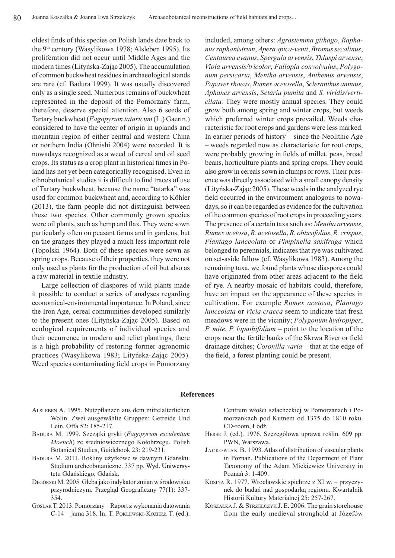oldest finds of this species on Polish lands date back to the 9<sup>th</sup> century (Wasylikowa 1978; Alsleben 1995). Its proliferation did not occur until Middle Ages and the modern times (Lityńska-Zając 2005). The accumulation of common buckwheat residues in archaeological stands are rare (cf. Badura 1999). It was usually discovered only as a single seed. Numerous remains of buckwheat represented in the deposit of the Pomorzany farm, therefore, deserve special attention. Also 6 seeds of Tartary buckwheat (*Fagopyrum tataricum* (L.) Gaertn.) considered to have the center of origin in uplands and mountain region of either central and western China or northern India (Ohnishi 2004) were recorded. It is nowadays recognized as a weed of cereal and oil seed crops. Its status as a crop plant in historical times in Poland has not yet been categorically recognised. Even in ethnobotanical studies it is difficult to find traces of use of Tartary buckwheat, because the name "tatarka" was used for common buckwheat and, according to Köhler (2013), the farm people did not distinguish between these two species. Other commonly grown species were oil plants, such as hemp and flax. They were sown particularly often on peasant farms and in gardens, but on the granges they played a much less important role (Topolski 1964). Both of these species were sown as spring crops. Because of their properties, they were not only used as plants for the production of oil but also as a raw material in textile industry.

Large collection of diaspores of wild plants made it possible to conduct a series of analyses regarding economical-environmental importance. In Poland, since the Iron Age, cereal communities developed similarly to the present ones (Lityńska-Zając 2005). Based on ecological requirements of individual species and their occurrence in modern and relict plantings, there is a high probability of restoring former agronomic practices (Wasylikowa 1983; Lityńska-Zając 2005). Weed species contaminating field crops in Pomorzany

included, among others: *Agrostemma githago*, *Raphanus raphanistrum*, *Apera spica-venti*, *Bromus secalinus*, *Centaurea cyanus*, *Spergula arvensis*, *Thlaspi arvense*, *Viola arvensis/tricolor*, *Fallopia convolvulus*, *Polygonum persicaria*, *Mentha arvensis*, *Anthemis arvensis*, *Papaver rhoeas*, *Rumex acetosella*, *Scleranthus annuus*, *Aphanes arvensis*, *Setaria pumila* and *S. viridis/verticilata.* They were mostly annual species. They could grow both among spring and winter crops, but weeds which preferred winter crops prevailed. Weeds characteristic for root crops and gardens were less marked. In earlier periods of history – since the Neolithic Age – weeds regarded now as characteristic for root crops, were probably growing in fields of millet, peas, broad beans, horticulture plants and spring crops. They could also grow in cereals sown in clumps or rows. Their presence was directly associated with a small canopy density (Lityńska-Zając 2005). These weeds in the analyzed rye field occurred in the environment analogous to nowadays, so it can be regarded as evidence for the cultivation of the common species of root crops in proceeding years. The presence of a certain taxa such as: *Mentha arvensis*, *Rumex acetosa*, *R. acetosella*, *R. obtusifolius*, *R. crispus*, *Plantago lanceolata* or *Pimpinella saxifraga* which belonged to perennials, indicates that rye was cultivated on set-aside fallow (cf. Wasylikowa 1983). Among the remaining taxa, we found plants whose diaspores could have originated from other areas adjacent to the field of rye. A nearby mosaic of habitats could, therefore, have an impact on the appearance of these species in cultivation. For example *Rumex acetosa*, *Plantago lanceolata* or *Vicia cracca* seem to indicate that fresh meadows were in the vicinity; *Polygonum hydropiper*, *P. mite*, *P. lapathifolium* – point to the location of the crops near the fertile banks of the Skrwa River or field drainage ditches; *Coronilla varia* – that at the edge of the field, a forest planting could be present.

## **References**

- Alsleben A. 1995. Nutzpflanzen aus dem mittelalterlichen Wolin. Zwei ausgewählte Gruppen: Getreide Und Lein. Offa 52: 185-217.
- Badura M. 1999. Szczątki gryki (*Fagopyrum esculentum Moench*) ze średniowiecznego Kołobrzegu. Polish Botanical Studies, Guidebook 23: 219-231.
- Badura M. 2011. Rośliny użytkowe w dawnym Gdańsku. Studium archeobotaniczne. 337 pp. Wyd. Uniwersytetu Gdańskiego, Gdańsk.
- Degórski M. 2005. Gleba jako indykator zmian w środowisku przyrodniczym. Przegląd Geograficzny 77(1): 337- 354.
- Goslar T. 2013. Pomorzany Raport z wykonania datowania C-14 – jama 318. In: T. Poklewski-Koziełł T. (ed.).

Centrum włości szlacheckiej w Pomorzanach i Pomorzankach pod Kutnem od 1375 do 1810 roku. CD-room, Łódź.

- Herse J. (ed.). 1976. Szczegółowa uprawa roślin. 609 pp. PWN, Warszawa.
- Jackowiak B. 1993. Atlas of distribution of vascular plants in Poznań. Publications of the Department of Plant Taxonomy of the Adam Mickiewicz University in Poznań 3: 1-409.
- Kosina R. 1977. Wrocławskie spichrze z XI w. przyczynek do badań nad gospodarką regionu. Kwartalnik Historii Kultury Materialnej 25: 257-267.
- Koszałka J. & Strzelczyk J. E. 2006. The grain storehouse from the early medieval stronghold at Józefów